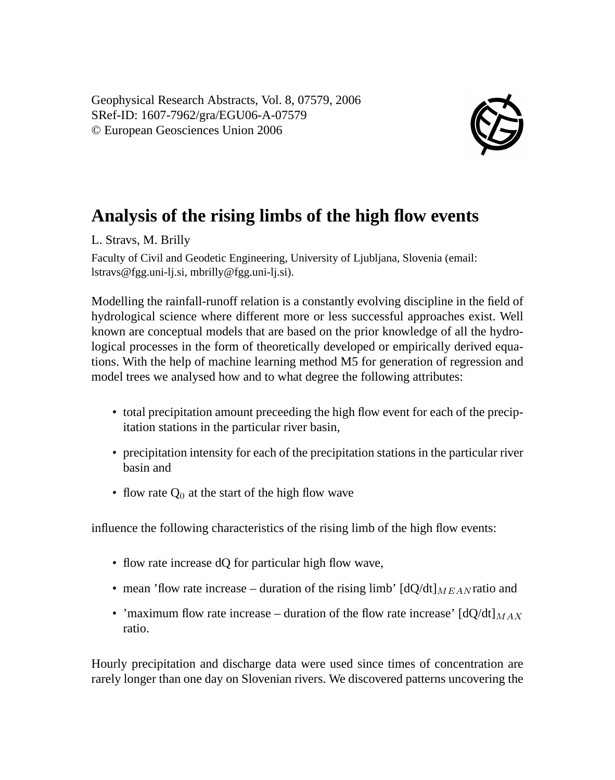Geophysical Research Abstracts, Vol. 8, 07579, 2006 SRef-ID: 1607-7962/gra/EGU06-A-07579 © European Geosciences Union 2006



## **Analysis of the rising limbs of the high flow events**

L. Stravs, M. Brilly

Faculty of Civil and Geodetic Engineering, University of Ljubljana, Slovenia (email: lstravs@fgg.uni-lj.si, mbrilly@fgg.uni-lj.si).

Modelling the rainfall-runoff relation is a constantly evolving discipline in the field of hydrological science where different more or less successful approaches exist. Well known are conceptual models that are based on the prior knowledge of all the hydrological processes in the form of theoretically developed or empirically derived equations. With the help of machine learning method M5 for generation of regression and model trees we analysed how and to what degree the following attributes:

- total precipitation amount preceeding the high flow event for each of the precipitation stations in the particular river basin,
- precipitation intensity for each of the precipitation stations in the particular river basin and
- flow rate  $Q_0$  at the start of the high flow wave

influence the following characteristics of the rising limb of the high flow events:

- flow rate increase dQ for particular high flow wave,
- mean 'flow rate increase duration of the rising limb'  $\left[\frac{dQ}{dt}\right]_{MEA}$  and
- 'maximum flow rate increase duration of the flow rate increase'  $\left[\frac{dO}{dt}\right]_{MAX}$ ratio.

Hourly precipitation and discharge data were used since times of concentration are rarely longer than one day on Slovenian rivers. We discovered patterns uncovering the